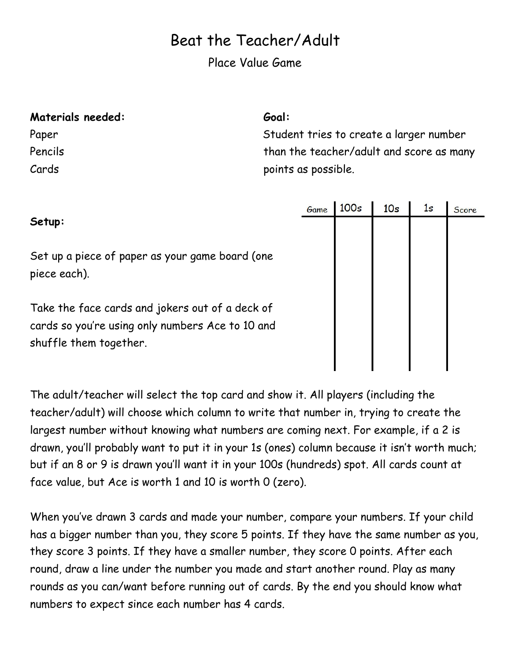# Beat the Teacher/Adult

Place Value Game

#### **Materials needed:**

Paper Pencils Cards

#### **Goal:**

Student tries to create a larger number than the teacher/adult and score as many points as possible.

|                                                                                                                               | Game | 100s | 10 <sub>s</sub> | 1s | Score |
|-------------------------------------------------------------------------------------------------------------------------------|------|------|-----------------|----|-------|
| Setup:                                                                                                                        |      |      |                 |    |       |
| Set up a piece of paper as your game board (one<br>piece each).                                                               |      |      |                 |    |       |
| Take the face cards and jokers out of a deck of<br>cards so you're using only numbers Ace to 10 and<br>shuffle them together. |      |      |                 |    |       |

The adult/teacher will select the top card and show it. All players (including the teacher/adult) will choose which column to write that number in, trying to create the largest number without knowing what numbers are coming next. For example, if a 2 is drawn, you'll probably want to put it in your 1s (ones) column because it isn't worth much; but if an 8 or 9 is drawn you'll want it in your 100s (hundreds) spot. All cards count at face value, but Ace is worth 1 and 10 is worth 0 (zero).

When you've drawn 3 cards and made your number, compare your numbers. If your child has a bigger number than you, they score 5 points. If they have the same number as you, they score 3 points. If they have a smaller number, they score 0 points. After each round, draw a line under the number you made and start another round. Play as many rounds as you can/want before running out of cards. By the end you should know what numbers to expect since each number has 4 cards.